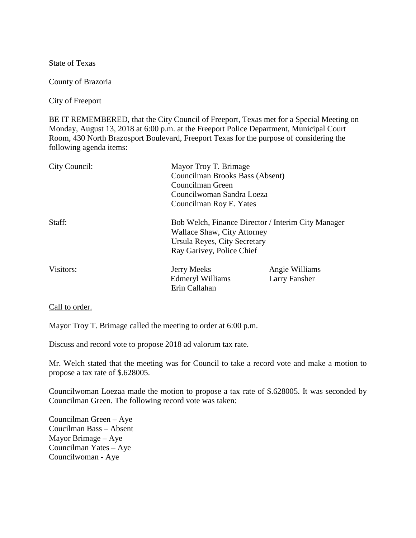State of Texas

County of Brazoria

City of Freeport

BE IT REMEMBERED, that the City Council of Freeport, Texas met for a Special Meeting on Monday, August 13, 2018 at 6:00 p.m. at the Freeport Police Department, Municipal Court Room, 430 North Brazosport Boulevard, Freeport Texas for the purpose of considering the following agenda items:

| City Council: | Mayor Troy T. Brimage<br>Councilman Brooks Bass (Absent)<br>Councilman Green<br>Councilwoman Sandra Loeza<br>Councilman Roy E. Yates           |                                 |
|---------------|------------------------------------------------------------------------------------------------------------------------------------------------|---------------------------------|
| Staff:        | Bob Welch, Finance Director / Interim City Manager<br>Wallace Shaw, City Attorney<br>Ursula Reyes, City Secretary<br>Ray Garivey, Police Chief |                                 |
| Visitors:     | <b>Jerry Meeks</b><br><b>Edmeryl Williams</b><br>Erin Callahan                                                                                 | Angie Williams<br>Larry Fansher |

Call to order.

Mayor Troy T. Brimage called the meeting to order at 6:00 p.m.

Discuss and record vote to propose 2018 ad valorum tax rate.

Mr. Welch stated that the meeting was for Council to take a record vote and make a motion to propose a tax rate of \$.628005.

Councilwoman Loezaa made the motion to propose a tax rate of \$.628005. It was seconded by Councilman Green. The following record vote was taken:

Councilman Green – Aye Coucilman Bass – Absent Mayor Brimage – Aye Councilman Yates – Aye Councilwoman - Aye